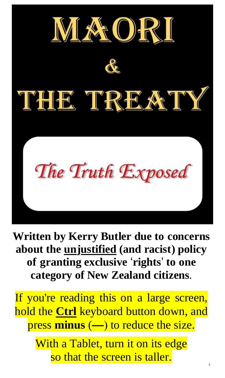

**Written by Kerry Butler due to concerns about the unjustified (and racist) policy of granting exclusive** '**rights**' **to one category of New Zealand citizens**.

If you're reading this on a large screen, hold the **Ctrl** keyboard button down, and press **minus** (**—**) to reduce the size.

> With a Tablet, turn it on its edge so that the screen is taller.

 $\frac{1}{1}$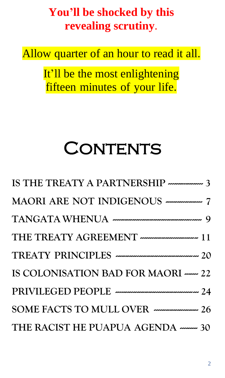#### **You'll be shocked by this revealing scrutiny**.

Allow quarter of an hour to read it all.

It'll be the most enlightening fifteen minutes of your life.

# **CONTENTS**

| IS THE TREATY A PARTNERSHIP $\ldots$                |
|-----------------------------------------------------|
|                                                     |
|                                                     |
|                                                     |
|                                                     |
| IS COLONISATION BAD FOR MAORI - 22                  |
|                                                     |
| SOME FACTS TO MULL OVER ------------------------ 26 |
| THE RACIST HE PUAPUA AGENDA $\cdots$ 30             |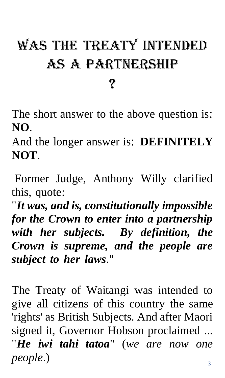# WAS THE TREATY INTENDED AS A PARTNERSHIP

?

The short answer to the above question is: **NO**.

And the longer answer is: **DEFINITELY NOT**.

Former Judge, Anthony Willy clarified this, quote:

"*It was, and is, constitutionally impossible for the Crown to enter into a partnership with her subjects. By definition, the Crown is supreme, and the people are subject to her laws*."

 <sup>3</sup> The Treaty of Waitangi was intended to give all citizens of this country the same 'rights' as British Subjects. And after Maori signed it, Governor Hobson proclaimed ... "*He iwi tahi tatoa*" (*we are now one people*.)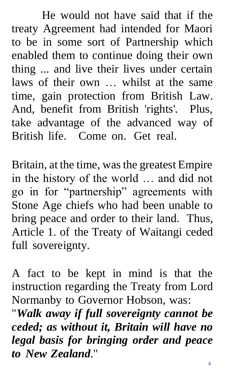He would not have said that if the treaty Agreement had intended for Maori to be in some sort of Partnership which enabled them to continue doing their own thing ... and live their lives under certain laws of their own … whilst at the same time, gain protection from British Law. And, benefit from British 'rights'. Plus, take advantage of the advanced way of British life. Come on. Get real.

Britain, at the time, was the greatest Empire in the history of the world … and did not go in for "partnership" agreements with Stone Age chiefs who had been unable to bring peace and order to their land. Thus, Article 1. of the Treaty of Waitangi ceded full sovereignty.

A fact to be kept in mind is that the instruction regarding the Treaty from Lord Normanby to Governor Hobson, was:

 $\overline{4}$ "*Walk away if full sovereignty cannot be ceded; as without it, Britain will have no legal basis for bringing order and peace to New Zealand*."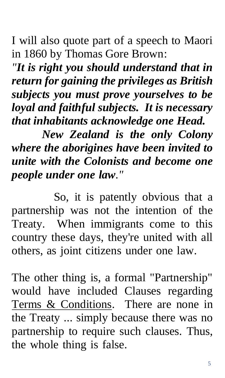I will also quote part of a speech to Maori in 1860 by Thomas Gore Brown:

*"It is right you should understand that in return for gaining the privileges as British subjects you must prove yourselves to be loyal and faithful subjects. It is necessary that inhabitants acknowledge one Head.*

*New Zealand is the only Colony where the aborigines have been invited to unite with the Colonists and become one people under one law."*

 So, it is patently obvious that a partnership was not the intention of the Treaty. When immigrants come to this country these days, they're united with all others, as joint citizens under one law.

The other thing is, a formal "Partnership" would have included Clauses regarding Terms & Conditions. There are none in the Treaty ... simply because there was no partnership to require such clauses. Thus, the whole thing is false.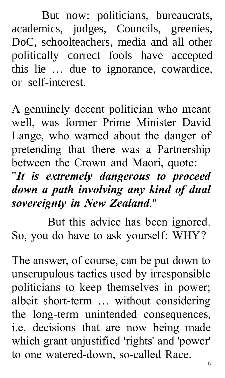But now: politicians, bureaucrats, academics, judges, Councils, greenies, DoC, schoolteachers, media and all other politically correct fools have accepted this lie … due to ignorance, cowardice, or self-interest.

A genuinely decent politician who meant well, was former Prime Minister David Lange, who warned about the danger of pretending that there was a Partnership between the Crown and Maori, quote: "*It is extremely dangerous to proceed down a path involving any kind of dual sovereignty in New Zealand*."

 But this advice has been ignored. So, you do have to ask yourself: WHY?

 <sup>6</sup> The answer, of course, can be put down to unscrupulous tactics used by irresponsible politicians to keep themselves in power; albeit short-term … without considering the long-term unintended consequences, i.e. decisions that are now being made which grant unjustified 'rights' and 'power' to one watered-down, so-called Race.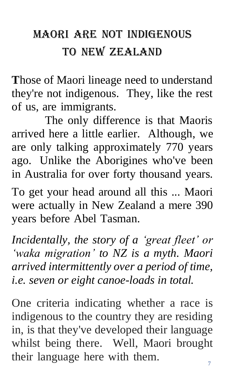### Maori are not indigenous to New Zealand

**T**hose of Maori lineage need to understand they're not indigenous. They, like the rest of us, are immigrants.

The only difference is that Maoris arrived here a little earlier. Although, we are only talking approximately 770 years ago. Unlike the Aborigines who've been in Australia for over forty thousand years.

To get your head around all this ... Maori were actually in New Zealand a mere 390 years before Abel Tasman.

*Incidentally, the story of a 'great fleet' or 'waka migration' to NZ is a myth. Maori arrived intermittently over a period of time, i.e. seven or eight canoe-loads in total.*

 <sup>7</sup> One criteria indicating whether a race is indigenous to the country they are residing in, is that they've developed their language whilst being there. Well, Maori brought their language here with them.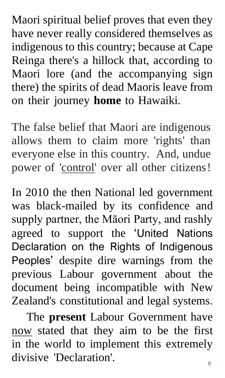Maori spiritual belief proves that even they have never really considered themselves as indigenous to this country; because at Cape Reinga there's a hillock that, according to Maori lore (and the accompanying sign there) the spirits of dead Maoris leave from on their journey **home** to Hawaiki.

The false belief that Maori are indigenous allows them to claim more 'rights' than everyone else in this country. And, undue power of 'control' over all other citizens!

In 2010 the then National led government was black-mailed by its confidence and supply partner, the Māori Party, and rashly agreed to support the 'United Nations Declaration on the Rights of Indigenous Peoples' despite dire warnings from the previous Labour government about the document being incompatible with New Zealand's constitutional and legal systems.

 The **present** Labour Government have now stated that they aim to be the first in the world to implement this extremely divisive 'Declaration'.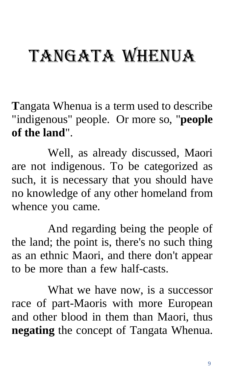# TANGATA WHENUA

**T**angata Whenua is a term used to describe "indigenous" people. Or more so, "**people of the land**".

 Well, as already discussed, Maori are not indigenous. To be categorized as such, it is necessary that you should have no knowledge of any other homeland from whence you came.

 And regarding being the people of the land; the point is, there's no such thing as an ethnic Maori, and there don't appear to be more than a few half-casts.

 What we have now, is a successor race of part-Maoris with more European and other blood in them than Maori, thus **negating** the concept of Tangata Whenua.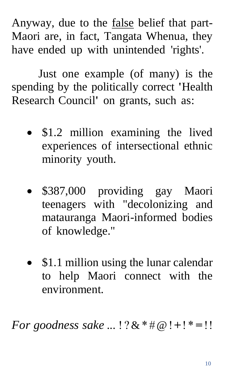Anyway, due to the <u>false</u> belief that part-Maori are, in fact, Tangata Whenua, they have ended up with unintended 'rights'.

 Just one example (of many) is the spending by the politically correct **'**Health Research Council**'** on grants, such as:

- \$1.2 million examining the lived experiences of intersectional ethnic minority youth.
- \$387,000 providing gay Maori teenagers with "decolonizing and matauranga Maori-informed bodies of knowledge."
- \$1.1 million using the lunar calendar to help Maori connect with the environment.

*For goodness sake* ... ! ?&\* #@!**+**! \* **=** !!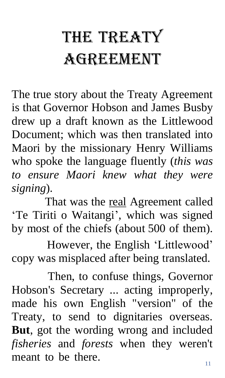# THE TREATY Agreement

The true story about the Treaty Agreement is that Governor Hobson and James Busby drew up a draft known as the Littlewood Document; which was then translated into Maori by the missionary Henry Williams who spoke the language fluently (*this was to ensure Maori knew what they were signing*).

That was the real Agreement called 'Te Tiriti o Waitangi', which was signed by most of the chiefs (about 500 of them).

 However, the English 'Littlewood' copy was misplaced after being translated.

 <sup>11</sup> Then, to confuse things, Governor Hobson's Secretary ... acting improperly, made his own English "version" of the Treaty, to send to dignitaries overseas. **But**, got the wording wrong and included *fisheries* and *forests* when they weren't meant to be there.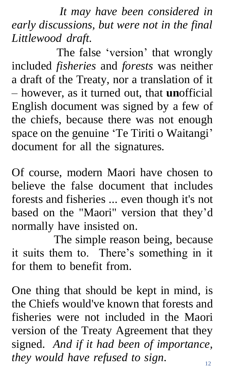*It may have been considered in early discussions, but were not in the final Littlewood draft*.

 The false 'version' that wrongly included *fisheries* and *forests* was neither a draft of the Treaty, nor a translation of it – however, as it turned out, that **un**official English document was signed by a few of the chiefs, because there was not enough space on the genuine 'Te Tiriti o Waitangi' document for all the signatures.

Of course, modern Maori have chosen to believe the false document that includes forests and fisheries ... even though it's not based on the "Maori" version that they'd normally have insisted on.

 The simple reason being, because it suits them to. There's something in it for them to benefit from.

 <sup>12</sup> One thing that should be kept in mind, is the Chiefs would've known that forests and fisheries were not included in the Maori version of the Treaty Agreement that they signed. *And if it had been of importance, they would have refused to sign*.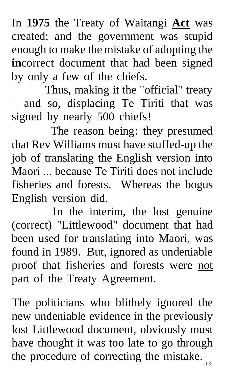In **1975** the Treaty of Waitangi **Act** was created; and the government was stupid enough to make the mistake of adopting the **in**correct document that had been signed by only a few of the chiefs.

Thus, making it the "official" treaty – and so, displacing Te Tiriti that was signed by nearly 500 chiefs!

 The reason being: they presumed that Rev Williams must have stuffed-up the job of translating the English version into Maori ... because Te Tiriti does not include fisheries and forests. Whereas the bogus English version did.

 In the interim, the lost genuine (correct) "Littlewood" document that had been used for translating into Maori, was found in 1989. But, ignored as undeniable proof that fisheries and forests were not part of the Treaty Agreement.

the procedure of correcting the mistake. The politicians who blithely ignored the new undeniable evidence in the previously lost Littlewood document, obviously must have thought it was too late to go through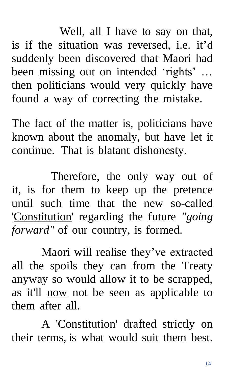Well, all I have to say on that, is if the situation was reversed, i.e. it'd suddenly been discovered that Maori had been missing out on intended 'rights' ... then politicians would very quickly have found a way of correcting the mistake.

The fact of the matter is, politicians have known about the anomaly, but have let it continue. That is blatant dishonesty.

 Therefore, the only way out of it, is for them to keep up the pretence until such time that the new so-called 'Constitution' regarding the future *"going forward"* of our country, is formed.

Maori will realise they've extracted all the spoils they can from the Treaty anyway so would allow it to be scrapped, as it'll now not be seen as applicable to them after all.

 A 'Constitution' drafted strictly on their terms, is what would suit them best*.*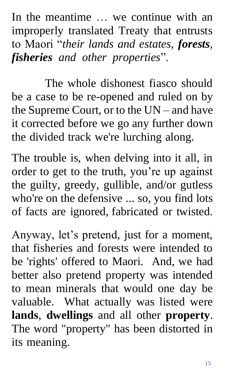In the meantime ... we continue with an improperly translated Treaty that entrusts to Maori "*their lands and estates, forests, fisheries and other properties*".

The whole dishonest fiasco should be a case to be re-opened and ruled on by the Supreme Court, or to the UN – and have it corrected before we go any further down the divided track we're lurching along.

The trouble is, when delving into it all, in order to get to the truth, you're up against the guilty, greedy, gullible, and/or gutless who're on the defensive ... so, you find lots of facts are ignored, fabricated or twisted.

Anyway, let's pretend, just for a moment, that fisheries and forests were intended to be 'rights' offered to Maori. And, we had better also pretend property was intended to mean minerals that would one day be valuable. What actually was listed were **lands**, **dwellings** and all other **property**. The word "property" has been distorted in its meaning.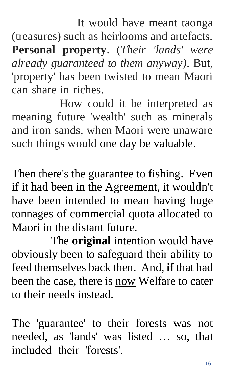It would have meant taonga (treasures) such as heirlooms and artefacts. **Personal property**. (*Their 'lands' were already guaranteed to them anyway)*. But, 'property' has been twisted to mean Maori can share in riches.

 How could it be interpreted as meaning future 'wealth' such as minerals and iron sands, when Maori were unaware such things would one day be valuable.

Then there's the guarantee to fishing. Even if it had been in the Agreement, it wouldn't have been intended to mean having huge tonnages of commercial quota allocated to Maori in the distant future.

 The **original** intention would have obviously been to safeguard their ability to feed themselves back then. And, **if** that had been the case, there is now Welfare to cater to their needs instead.

The 'guarantee' to their forests was not needed, as 'lands' was listed … so, that included their 'forests'.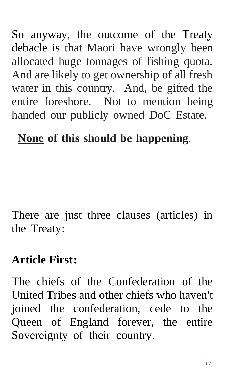So anyway, the outcome of the Treaty debacle is that Maori have wrongly been allocated huge tonnages of fishing quota. And are likely to get ownership of all fresh water in this country. And, be gifted the entire foreshore. Not to mention being handed our publicly owned DoC Estate.

### **None of this should be happening**.

There are just three clauses (articles) in the Treaty:

#### **Article First :**

The chiefs of the Confederation of the United Tribes and other chiefs who haven't joined the confederation, cede to the Queen of England forever, the entire Sovereignty of their country.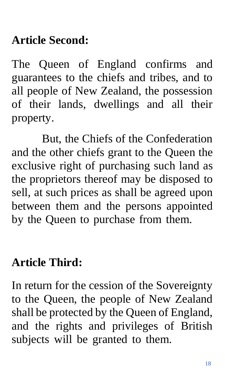### **Article Second:**

The Queen of England confirms and guarantees to the chiefs and tribes, and to all people of New Zealand, the possession of their lands, dwellings and all their property.

But, the Chiefs of the Confederation and the other chiefs grant to the Queen the exclusive right of purchasing such land as the proprietors thereof may be disposed to sell, at such prices as shall be agreed upon between them and the persons appointed by the Queen to purchase from them.

#### **Article Third:**

In return for the cession of the Sovereignty to the Queen, the people of New Zealand shall be protected by the Queen of England, and the rights and privileges of British subjects will be granted to them.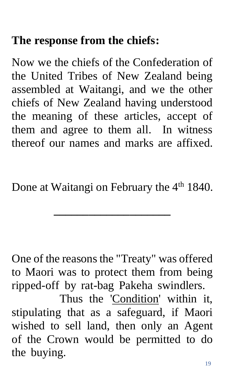### **The response from the chiefs:**

Now we the chiefs of the Confederation of the United Tribes of New Zealand being assembled at Waitangi, and we the other chiefs of New Zealand having understood the meaning of these articles, accept of them and agree to them all. In witness thereof our names and marks are affixed.

Done at Waitangi on February the 4<sup>th</sup> 1840.

**\_\_\_\_\_\_\_\_\_\_\_\_\_\_\_\_\_\_\_\_**

One of the reasons the "Treaty" was offered to Maori was to protect them from being ripped-off by rat-bag Pakeha swindlers.

 Thus the 'Condition' within it, stipulating that as a safeguard, if Maori wished to sell land, then only an Agent of the Crown would be permitted to do the buying.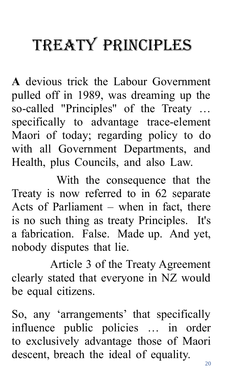# TREATY PRINCIPLES

**A** devious trick the Labour Government pulled off in 1989, was dreaming up the so-called "Principles" of the Treaty … specifically to advantage trace-element Maori of today; regarding policy to do with all Government Departments, and Health, plus Councils, and also Law.

 With the consequence that the Treaty is now referred to in 62 separate Acts of Parliament – when in fact, there is no such thing as treaty Principles. It's a fabrication. False. Made up. And yet, nobody disputes that lie.

 Article 3 of the Treaty Agreement clearly stated that everyone in NZ would be equal citizens.

So, any 'arrangements' that specifically influence public policies … in order to exclusively advantage those of Maori descent, breach the ideal of equality.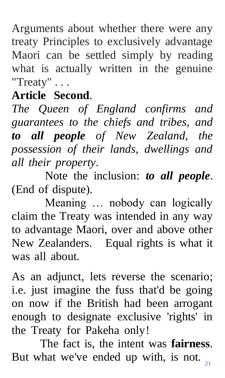Arguments about whether there were any treaty Principles to exclusively advantage Maori can be settled simply by reading what is actually written in the genuine "Treaty" . . .

### **Article Second**.

*The Queen of England confirms and guarantees to the chiefs and tribes, and to all people of New Zealand, the possession of their lands, dwellings and all their property*.

Note the inclusion: *to all people*. (End of dispute).

Meaning … nobody can logically claim the Treaty was intended in any way to advantage Maori, over and above other New Zealanders. Equal rights is what it was all about.

As an adjunct, lets reverse the scenario; i.e. just imagine the fuss that'd be going on now if the British had been arrogant enough to designate exclusive 'rights' in the Treaty for Pakeha only!

But what we've ended up with, is not.  $\sum_{21}$ The fact is, the intent was **fairness**.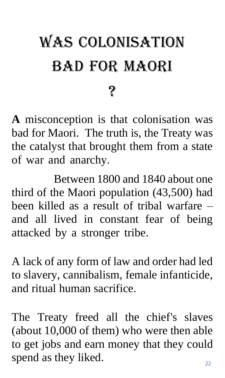# WAS COLONISATION BAD FOR MAORI

?

**A** misconception is that colonisation was bad for Maori. The truth is, the Treaty was the catalyst that brought them from a state of war and anarchy.

 Between 1800 and 1840 about one third of the Maori population (43,500) had been killed as a result of tribal warfare – and all lived in constant fear of being attacked by a stronger tribe.

A lack of any form of law and order had led to slavery, cannibalism, female infanticide, and ritual human sacrifice.

 <sup>22</sup> The Treaty freed all the chief's slaves (about 10,000 of them) who were then able to get jobs and earn money that they could spend as they liked.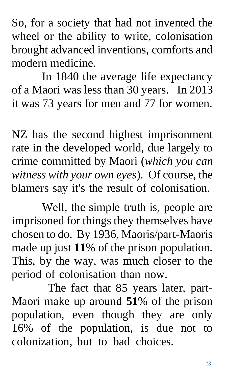So, for a society that had not invented the wheel or the ability to write, colonisation brought advanced inventions, comforts and modern medicine.

In 1840 the average life expectancy of a Maori was less than 30 years. In 2013 it was 73 years for men and 77 for women.

NZ has the second highest imprisonment rate in the developed world, due largely to crime committed by Maori (*which you can witness with your own eyes*). Of course, the blamers say it's the result of colonisation.

Well, the simple truth is, people are imprisoned for things they themselves have chosen to do. By 1936, Maoris/part-Maoris made up just **11**% of the prison population. This, by the way, was much closer to the period of colonisation than now.

 The fact that 85 years later, part-Maori make up around **51**% of the prison population, even though they are only 16% of the population, is due not to colonization, but to bad choices.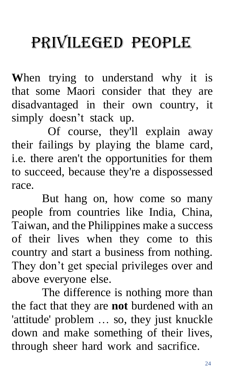# PRIVILEGED PEOPLE

**W**hen trying to understand why it is that some Maori consider that they are disadvantaged in their own country, it simply doesn't stack up.

 Of course, they'll explain away their failings by playing the blame card, i.e. there aren't the opportunities for them to succeed, because they're a dispossessed race.

But hang on, how come so many people from countries like India, China, Taiwan, and the Philippines make a success of their lives when they come to this country and start a business from nothing. They don't get special privileges over and above everyone else.

The difference is nothing more than the fact that they are **not** burdened with an 'attitude' problem … so, they just knuckle down and make something of their lives, through sheer hard work and sacrifice.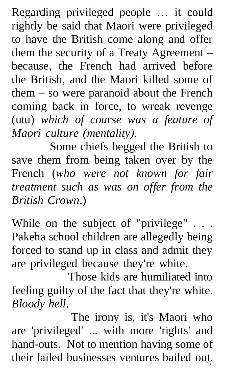Regarding privileged people … it could rightly be said that Maori were privileged to have the British come along and offer them the security of a Treaty Agreement – because, the French had arrived before the British, and the Maori killed some of them – so were paranoid about the French coming back in force, to wreak revenge (utu) *which of course was a feature of Maori culture (mentality).*

 Some chiefs begged the British to save them from being taken over by the French (*who were not known for fair treatment such as was on offer from the British Crown*.)

While on the subject of "privilege" . . . Pakeha school children are allegedly being forced to stand up in class and admit they are privileged because they're white.

 Those kids are humiliated into feeling guilty of the fact that they're white. *Bloody hell*.

their failed businesses ventures bailed out. The irony is, it's Maori who are 'privileged' ... with more 'rights' and hand-outs. Not to mention having some of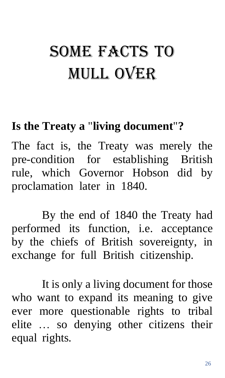# Some facts to mull over

#### **Is the Treaty a** "**living document**" **?**

The fact is, the Treaty was merely the pre-condition for establishing British rule, which Governor Hobson did by proclamation later in 1840.

By the end of 1840 the Treaty had performed its function, i.e. acceptance by the chiefs of British sovereignty, in exchange for full British citizenship.

It is only a living document for those who want to expand its meaning to give ever more questionable rights to tribal elite … so denying other citizens their equal rights.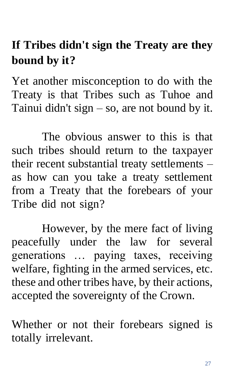### **If Tribes didn't sign the Treaty are they bound by it?**

Yet another misconception to do with the Treaty is that Tribes such as Tuhoe and Tainui didn't sign  $-$  so, are not bound by it.

The obvious answer to this is that such tribes should return to the taxpayer their recent substantial treaty settlements – as how can you take a treaty settlement from a Treaty that the forebears of your Tribe did not sign?

However, by the mere fact of living peacefully under the law for several generations … paying taxes, receiving welfare, fighting in the armed services, etc. these and other tribes have, by their actions, accepted the sovereignty of the Crown.

Whether or not their forebears signed is totally irrelevant.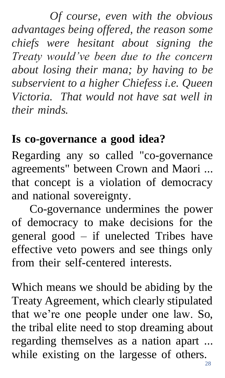*Of course, even with the obvious advantages being offered, the reason some chiefs were hesitant about signing the Treaty would've been due to the concern about losing their mana; by having to be subservient to a higher Chiefess i.e. Queen Victoria. That would not have sat well in their minds.*

#### **Is co-governance a good idea?**

Regarding any so called "co-governance agreements" between Crown and Maori ... that concept is a violation of democracy and national sovereignty.

 Co-governance undermines the power of democracy to make decisions for the general good – if unelected Tribes have effective veto powers and see things only from their self-centered interests.

 $rac{28}{28}$ Which means we should be abiding by the Treaty Agreement, which clearly stipulated that we're one people under one law. So, the tribal elite need to stop dreaming about regarding themselves as a nation apart ... while existing on the largesse of others.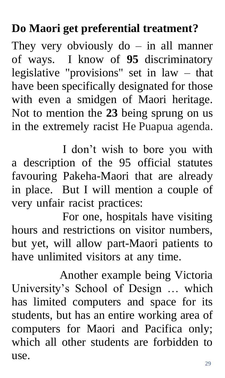#### **Do Maori get preferential treatment?**

They very obviously  $do - in$  all manner of ways. I know of **95** discriminatory legislative "provisions" set in law – that have been specifically designated for those with even a smidgen of Maori heritage. Not to mention the **23** being sprung on us in the extremely racist He Puapua agenda.

 I don't wish to bore you with a description of the 95 official statutes favouring Pakeha-Maori that are already in place. But I will mention a couple of very unfair racist practices:

 For one, hospitals have visiting hours and restrictions on visitor numbers, but yet, will allow part-Maori patients to have unlimited visitors at any time.

 Another example being Victoria University's School of Design … which has limited computers and space for its students, but has an entire working area of computers for Maori and Pacifica only; which all other students are forbidden to use.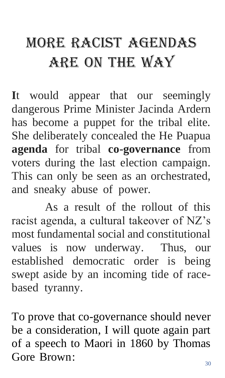## more Racist agendas are on the way

**I**t would appear that our seemingly dangerous Prime Minister Jacinda Ardern has become a puppet for the tribal elite. She deliberately concealed the He Puapua **agenda** for tribal **co-governance** from voters during the last election campaign. This can only be seen as an orchestrated, and sneaky abuse of power.

As a result of the rollout of this racist agenda, a cultural takeover of NZ's most fundamental social and constitutional values is now underway. Thus, our established democratic order is being swept aside by an incoming tide of racebased tyranny.

To prove that co-governance should never be a consideration, I will quote again part of a speech to Maori in 1860 by Thomas Gore Brown: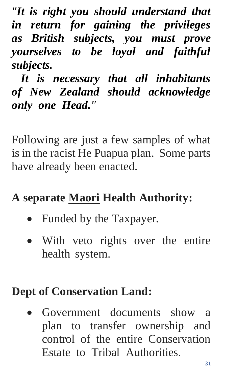*"It is right you should understand that in return for gaining the privileges as British subjects, you must prove yourselves to be loyal and faithful subjects.*

 *It is necessary that all inhabitants of New Zealand should acknowledge only one Head."*

Following are just a few samples of what is in the racist He Puapua plan. Some parts have already been enacted.

#### **A separate Maori Health Authority:**

- Funded by the Taxpayer.
- With veto rights over the entire health system.

#### **Dept of Conservation Land:**

• Government documents show a plan to transfer ownership and control of the entire Conservation Estate to Tribal Authorities.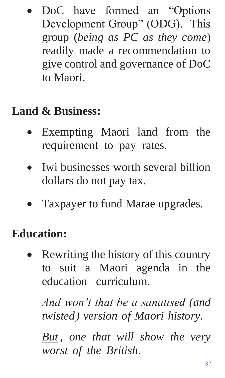DoC have formed an "Options" Development Group" (ODG). This group (*being as PC as they come*) readily made a recommendation to give control and governance of DoC to Maori.

### **Land & Business:**

- Exempting Maori land from the requirement to pay rates.
- Iwi businesses worth several billion dollars do not pay tax.
- Taxpayer to fund Marae upgrades.

#### **Education:**

Rewriting the history of this country to suit a Maori agenda in the education curriculum.

*And won't that be a sanatised (and twisted) version of Maori history.* 

*But , one that will show the very worst of the British*.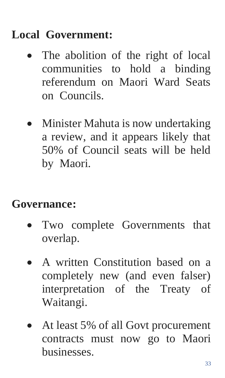#### **Local Government:**

- The abolition of the right of local communities to hold a binding referendum on Maori Ward Seats on Councils.
- Minister Mahuta is now undertaking a review, and it appears likely that 50% of Council seats will be held by Maori.

#### **Governance:**

- Two complete Governments that overlap.
- A written Constitution based on a completely new (and even falser) interpretation of the Treaty of Waitangi.
- At least 5% of all Govt procurement contracts must now go to Maori businesses.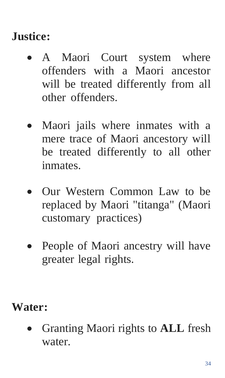### **Justice:**

- A Maori Court system where offenders with a Maori ancestor will be treated differently from all other offenders.
- Maori jails where inmates with a mere trace of Maori ancestory will be treated differently to all other inmates.
- Our Western Common Law to be replaced by Maori "titanga" (Maori customary practices)
- People of Maori ancestry will have greater legal rights.

#### **Water:**

• Granting Maori rights to **ALL** fresh water.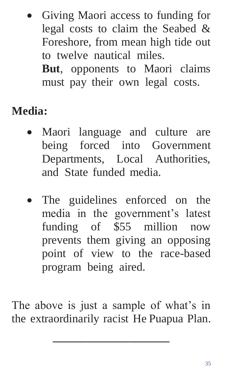• Giving Maori access to funding for legal costs to claim the Seabed & Foreshore, from mean high tide out to twelve nautical miles.

**But**, opponents to Maori claims must pay their own legal costs.

#### **Media:**

- Maori language and culture are being forced into Government Departments, Local Authorities, and State funded media.
- The guidelines enforced on the media in the government's latest funding of \$55 million now prevents them giving an opposing point of view to the race-based program being aired.

The above is just a sample of what's in the extraordinarily racist He Puapua Plan.

**\_\_\_\_\_\_\_\_\_\_\_\_\_\_\_\_\_\_\_\_**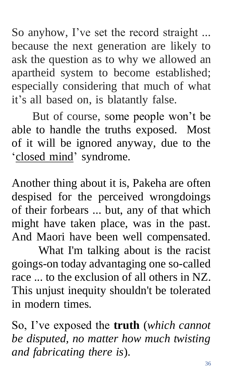So anyhow, I've set the record straight ... because the next generation are likely to ask the question as to why we allowed an apartheid system to become established; especially considering that much of what it's all based on, is blatantly false.

 But of course, some people won't be able to handle the truths exposed. Most of it will be ignored anyway, due to the 'closed mind' syndrome.

Another thing about it is, Pakeha are often despised for the perceived wrongdoings of their forbears ... but, any of that which might have taken place, was in the past. And Maori have been well compensated.

 What I'm talking about is the racist goings-on today advantaging one so-called race ... to the exclusion of all others in NZ. This unjust inequity shouldn't be tolerated in modern times.

So, I've exposed the **truth** (*which cannot be disputed, no matter how much twisting and fabricating there is*).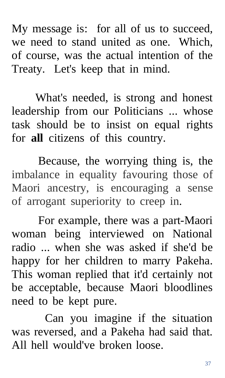My message is: for all of us to succeed, we need to stand united as one. Which, of course, was the actual intention of the Treaty. Let's keep that in mind.

 What's needed, is strong and honest leadership from our Politicians ... whose task should be to insist on equal rights for **all** citizens of this country.

 Because, the worrying thing is, the imbalance in equality favouring those of Maori ancestry, is encouraging a sense of arrogant superiority to creep in.

 For example, there was a part-Maori woman being interviewed on National radio ... when she was asked if she'd be happy for her children to marry Pakeha. This woman replied that it'd certainly not be acceptable, because Maori bloodlines need to be kept pure.

Can you imagine if the situation was reversed, and a Pakeha had said that. All hell would've broken loose.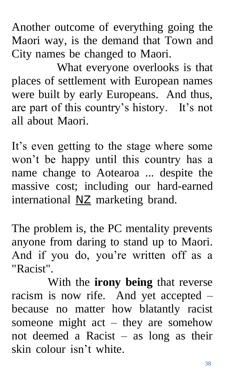Another outcome of everything going the Maori way, is the demand that Town and City names be changed to Maori.

 What everyone overlooks is that places of settlement with European names were built by early Europeans. And thus, are part of this country's history. It's not all about Maori.

It's even getting to the stage where some won't be happy until this country has a name change to Aotearoa ... despite the massive cost; including our hard-earned international NZ marketing brand.

The problem is, the PC mentality prevents anyone from daring to stand up to Maori. And if you do, you're written off as a "Racist".

 With the **irony being** that reverse racism is now rife. And yet accepted – because no matter how blatantly racist someone might act – they are somehow not deemed a Racist – as long as their skin colour isn't white.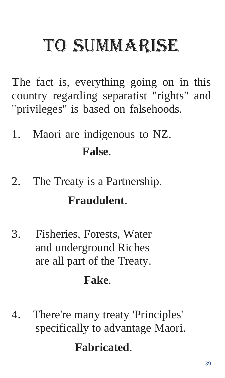# TO SUMMARISE

**T**he fact is, everything going on in this country regarding separatist "rights" and "privileges" is based on falsehoods.

- 1.Maori are indigenous to NZ. **False**.
- 2.The Treaty is a Partnership.

#### **Fraudulent**.

3.Fisheries, Forests, Water and underground Riches are all part of the Treaty.

#### **Fake**.

4. There're many treaty 'Principles' specifically to advantage Maori.

#### **Fabricated**.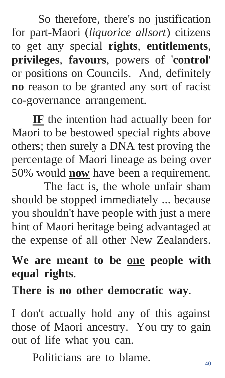So therefore, there's no justification for part-Maori (*liquorice allsort*) citizens to get any special **rights**, **entitlements**, **privileges**, **favours**, powers of '**control**' or positions on Councils. And, definitely **no** reason to be granted any sort of racist co-governance arrangement.

 **IF** the intention had actually been for Maori to be bestowed special rights above others; then surely a DNA test proving the percentage of Maori lineage as being over 50% would **now** have been a requirement.

 The fact is, the whole unfair sham should be stopped immediately ... because you shouldn't have people with just a mere hint of Maori heritage being advantaged at the expense of all other New Zealanders.

### **We are meant to be one people with equal rights**.

**There is no other democratic way**.

I don't actually hold any of this against those of Maori ancestry. You try to gain out of life what you can.

Politicians are to blame.